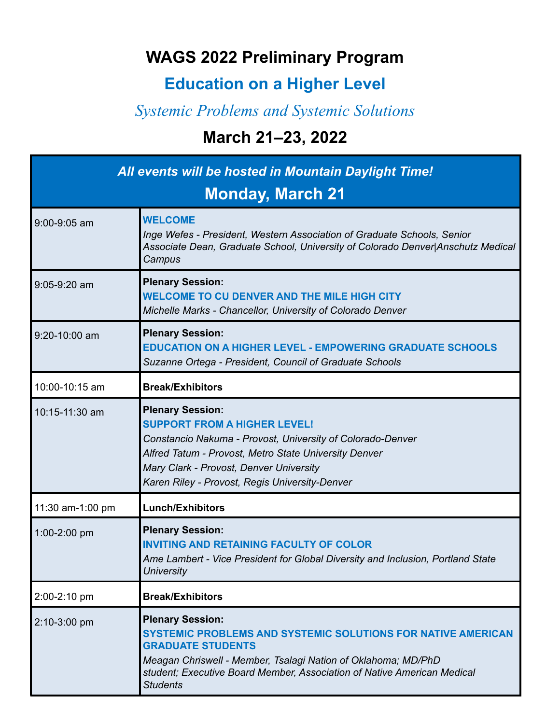## **WAGS 2022 Preliminary Program**

## **Education on a Higher Level**

## *Systemic Problems and Systemic Solutions*

## **March 21–23, 2022**

| All events will be hosted in Mountain Daylight Time!<br><b>Monday, March 21</b> |                                                                                                                                                                                                                                                                                    |
|---------------------------------------------------------------------------------|------------------------------------------------------------------------------------------------------------------------------------------------------------------------------------------------------------------------------------------------------------------------------------|
| 9:00-9:05 am                                                                    | <b>WELCOME</b><br>Inge Wefes - President, Western Association of Graduate Schools, Senior<br>Associate Dean, Graduate School, University of Colorado Denver Anschutz Medical<br>Campus                                                                                             |
| 9:05-9:20 am                                                                    | <b>Plenary Session:</b><br><b>WELCOME TO CU DENVER AND THE MILE HIGH CITY</b><br>Michelle Marks - Chancellor, University of Colorado Denver                                                                                                                                        |
| 9:20-10:00 am                                                                   | <b>Plenary Session:</b><br><b>EDUCATION ON A HIGHER LEVEL - EMPOWERING GRADUATE SCHOOLS</b><br>Suzanne Ortega - President, Council of Graduate Schools                                                                                                                             |
| 10:00-10:15 am                                                                  | <b>Break/Exhibitors</b>                                                                                                                                                                                                                                                            |
| 10:15-11:30 am                                                                  | <b>Plenary Session:</b><br><b>SUPPORT FROM A HIGHER LEVEL!</b><br>Constancio Nakuma - Provost, University of Colorado-Denver<br>Alfred Tatum - Provost, Metro State University Denver<br>Mary Clark - Provost, Denver University<br>Karen Riley - Provost, Regis University-Denver |
| 11:30 am-1:00 pm                                                                | <b>Lunch/Exhibitors</b>                                                                                                                                                                                                                                                            |
| 1:00-2:00 pm                                                                    | <b>Plenary Session:</b><br><b>INVITING AND RETAINING FACULTY OF COLOR</b><br>Ame Lambert - Vice President for Global Diversity and Inclusion, Portland State<br><b>University</b>                                                                                                  |
| 2:00-2:10 pm                                                                    | <b>Break/Exhibitors</b>                                                                                                                                                                                                                                                            |
| 2:10-3:00 pm                                                                    | <b>Plenary Session:</b><br>SYSTEMIC PROBLEMS AND SYSTEMIC SOLUTIONS FOR NATIVE AMERICAN<br><b>GRADUATE STUDENTS</b><br>Meagan Chriswell - Member, Tsalagi Nation of Oklahoma; MD/PhD<br>student; Executive Board Member, Association of Native American Medical<br><b>Students</b> |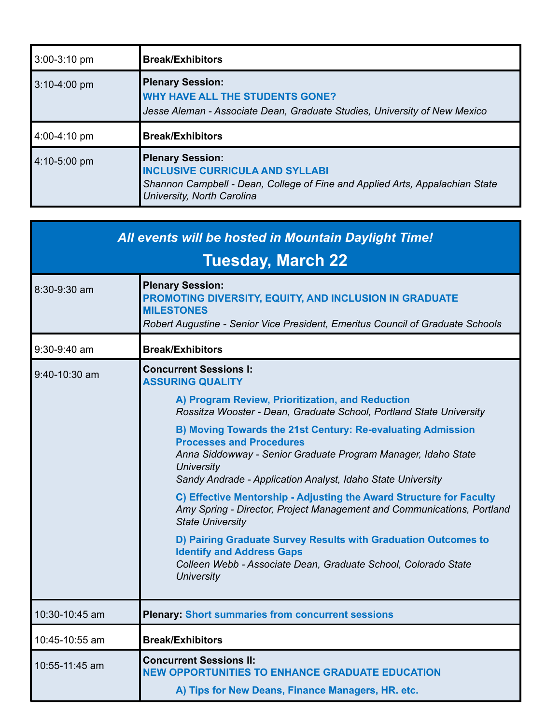| 3:00-3:10 pm   | <b>Break/Exhibitors</b>                                                                                                                                                         |
|----------------|---------------------------------------------------------------------------------------------------------------------------------------------------------------------------------|
| $3:10-4:00$ pm | <b>Plenary Session:</b><br><b>WHY HAVE ALL THE STUDENTS GONE?</b><br>Jesse Aleman - Associate Dean, Graduate Studies, University of New Mexico                                  |
| 4:00-4:10 pm   | <b>Break/Exhibitors</b>                                                                                                                                                         |
| $4:10-5:00$ pm | <b>Plenary Session:</b><br><b>INCLUSIVE CURRICULA AND SYLLABI</b><br>Shannon Campbell - Dean, College of Fine and Applied Arts, Appalachian State<br>University, North Carolina |

| All events will be hosted in Mountain Daylight Time! |                                                                                                                                                                                                                                                                                                                                                                                                                                                                                                                                                                                                                        |
|------------------------------------------------------|------------------------------------------------------------------------------------------------------------------------------------------------------------------------------------------------------------------------------------------------------------------------------------------------------------------------------------------------------------------------------------------------------------------------------------------------------------------------------------------------------------------------------------------------------------------------------------------------------------------------|
| <b>Tuesday, March 22</b>                             |                                                                                                                                                                                                                                                                                                                                                                                                                                                                                                                                                                                                                        |
| 8:30-9:30 am                                         | <b>Plenary Session:</b><br>PROMOTING DIVERSITY, EQUITY, AND INCLUSION IN GRADUATE<br><b>MILESTONES</b><br>Robert Augustine - Senior Vice President, Emeritus Council of Graduate Schools                                                                                                                                                                                                                                                                                                                                                                                                                               |
| $9:30-9:40$ am                                       | <b>Break/Exhibitors</b>                                                                                                                                                                                                                                                                                                                                                                                                                                                                                                                                                                                                |
| $9:40-10:30$ am                                      | <b>Concurrent Sessions I:</b><br><b>ASSURING QUALITY</b><br>A) Program Review, Prioritization, and Reduction<br>Rossitza Wooster - Dean, Graduate School, Portland State University<br>B) Moving Towards the 21st Century: Re-evaluating Admission<br><b>Processes and Procedures</b><br>Anna Siddowway - Senior Graduate Program Manager, Idaho State<br><b>University</b><br>Sandy Andrade - Application Analyst, Idaho State University<br>C) Effective Mentorship - Adjusting the Award Structure for Faculty<br>Amy Spring - Director, Project Management and Communications, Portland<br><b>State University</b> |
|                                                      | D) Pairing Graduate Survey Results with Graduation Outcomes to<br><b>Identify and Address Gaps</b><br>Colleen Webb - Associate Dean, Graduate School, Colorado State<br><b>University</b>                                                                                                                                                                                                                                                                                                                                                                                                                              |
| 10:30-10:45 am                                       | <b>Plenary: Short summaries from concurrent sessions</b>                                                                                                                                                                                                                                                                                                                                                                                                                                                                                                                                                               |
| 10:45-10:55 am                                       | <b>Break/Exhibitors</b>                                                                                                                                                                                                                                                                                                                                                                                                                                                                                                                                                                                                |
| 10:55-11:45 am                                       | <b>Concurrent Sessions II:</b><br><b>NEW OPPORTUNITIES TO ENHANCE GRADUATE EDUCATION</b><br>A) Tips for New Deans, Finance Managers, HR. etc.                                                                                                                                                                                                                                                                                                                                                                                                                                                                          |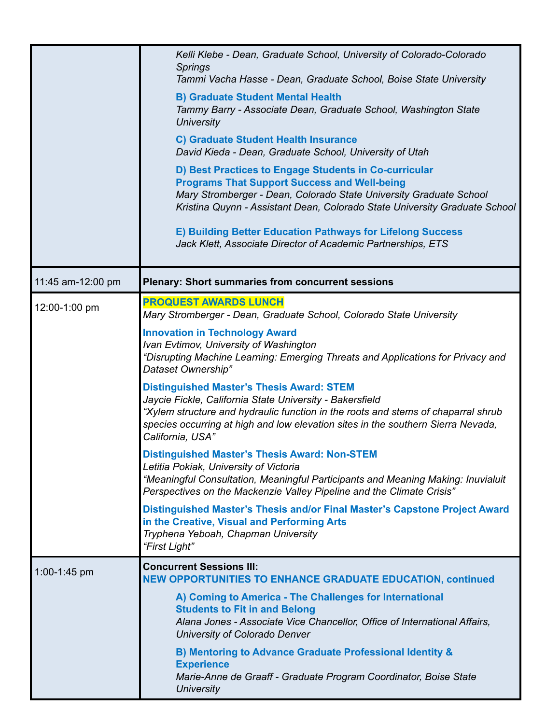|                   | Kelli Klebe - Dean, Graduate School, University of Colorado-Colorado<br><b>Springs</b><br>Tammi Vacha Hasse - Dean, Graduate School, Boise State University                                                                                                                                               |
|-------------------|-----------------------------------------------------------------------------------------------------------------------------------------------------------------------------------------------------------------------------------------------------------------------------------------------------------|
|                   |                                                                                                                                                                                                                                                                                                           |
|                   | <b>B) Graduate Student Mental Health</b><br>Tammy Barry - Associate Dean, Graduate School, Washington State<br><b>University</b>                                                                                                                                                                          |
|                   | <b>C) Graduate Student Health Insurance</b><br>David Kieda - Dean, Graduate School, University of Utah                                                                                                                                                                                                    |
|                   | D) Best Practices to Engage Students in Co-curricular<br><b>Programs That Support Success and Well-being</b><br>Mary Stromberger - Dean, Colorado State University Graduate School<br>Kristina Quynn - Assistant Dean, Colorado State University Graduate School                                          |
|                   | E) Building Better Education Pathways for Lifelong Success<br>Jack Klett, Associate Director of Academic Partnerships, ETS                                                                                                                                                                                |
| 11:45 am-12:00 pm | <b>Plenary: Short summaries from concurrent sessions</b>                                                                                                                                                                                                                                                  |
| 12:00-1:00 pm     | <b>PROQUEST AWARDS LUNCH</b>                                                                                                                                                                                                                                                                              |
|                   | Mary Stromberger - Dean, Graduate School, Colorado State University                                                                                                                                                                                                                                       |
|                   | <b>Innovation in Technology Award</b><br>Ivan Evtimov, University of Washington<br>"Disrupting Machine Learning: Emerging Threats and Applications for Privacy and<br>Dataset Ownership"                                                                                                                  |
|                   | <b>Distinguished Master's Thesis Award: STEM</b><br>Jaycie Fickle, California State University - Bakersfield<br>"Xylem structure and hydraulic function in the roots and stems of chaparral shrub<br>species occurring at high and low elevation sites in the southern Sierra Nevada,<br>California, USA" |
|                   | <b>Distinguished Master's Thesis Award: Non-STEM</b><br>Letitia Pokiak, University of Victoria<br>"Meaningful Consultation, Meaningful Participants and Meaning Making: Inuvialuit<br>Perspectives on the Mackenzie Valley Pipeline and the Climate Crisis"                                               |
|                   | Distinguished Master's Thesis and/or Final Master's Capstone Project Award<br>in the Creative, Visual and Performing Arts<br>Tryphena Yeboah, Chapman University<br>"First Light"                                                                                                                         |
| 1:00-1:45 pm      | <b>Concurrent Sessions III:</b><br><b>NEW OPPORTUNITIES TO ENHANCE GRADUATE EDUCATION, continued</b>                                                                                                                                                                                                      |
|                   | A) Coming to America - The Challenges for International<br><b>Students to Fit in and Belong</b><br>Alana Jones - Associate Vice Chancellor, Office of International Affairs,<br>University of Colorado Denver                                                                                             |
|                   | B) Mentoring to Advance Graduate Professional Identity &<br><b>Experience</b><br>Marie-Anne de Graaff - Graduate Program Coordinator, Boise State                                                                                                                                                         |
|                   | <b>University</b>                                                                                                                                                                                                                                                                                         |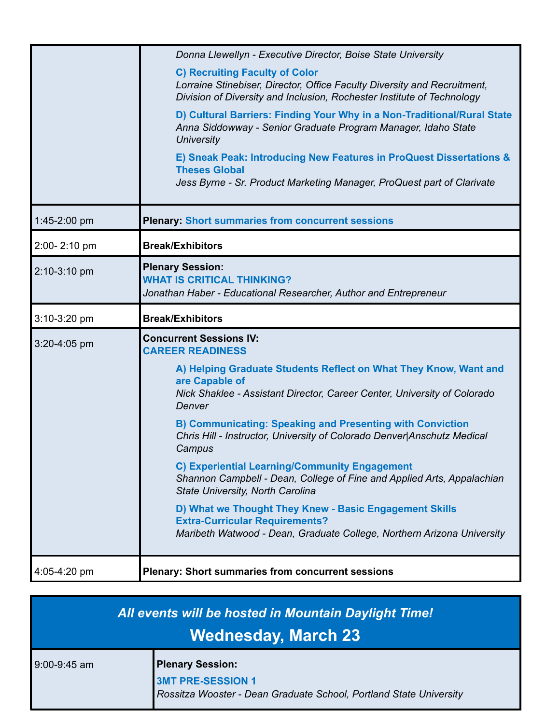|              | Donna Llewellyn - Executive Director, Boise State University                                                                                                                                |
|--------------|---------------------------------------------------------------------------------------------------------------------------------------------------------------------------------------------|
|              | <b>C) Recruiting Faculty of Color</b><br>Lorraine Stinebiser, Director, Office Faculty Diversity and Recruitment,<br>Division of Diversity and Inclusion, Rochester Institute of Technology |
|              | D) Cultural Barriers: Finding Your Why in a Non-Traditional/Rural State<br>Anna Siddowway - Senior Graduate Program Manager, Idaho State<br><b>University</b>                               |
|              | E) Sneak Peak: Introducing New Features in ProQuest Dissertations &<br><b>Theses Global</b><br>Jess Byrne - Sr. Product Marketing Manager, ProQuest part of Clarivate                       |
| 1:45-2:00 pm | <b>Plenary: Short summaries from concurrent sessions</b>                                                                                                                                    |
| 2:00-2:10 pm | <b>Break/Exhibitors</b>                                                                                                                                                                     |
| 2:10-3:10 pm | <b>Plenary Session:</b><br><b>WHAT IS CRITICAL THINKING?</b><br>Jonathan Haber - Educational Researcher, Author and Entrepreneur                                                            |
| 3:10-3:20 pm | <b>Break/Exhibitors</b>                                                                                                                                                                     |
| 3:20-4:05 pm | <b>Concurrent Sessions IV:</b><br><b>CAREER READINESS</b>                                                                                                                                   |
|              | A) Helping Graduate Students Reflect on What They Know, Want and<br>are Capable of<br>Nick Shaklee - Assistant Director, Career Center, University of Colorado<br>Denver                    |
|              | <b>B) Communicating: Speaking and Presenting with Conviction</b><br>Chris Hill - Instructor, University of Colorado Denver Anschutz Medical<br>Campus                                       |
|              | <b>C) Experiential Learning/Community Engagement</b><br>Shannon Campbell - Dean, College of Fine and Applied Arts, Appalachian<br>State University, North Carolina                          |
|              | D) What we Thought They Knew - Basic Engagement Skills<br><b>Extra-Curricular Requirements?</b><br>Maribeth Watwood - Dean, Graduate College, Northern Arizona University                   |
| 4:05-4:20 pm | <b>Plenary: Short summaries from concurrent sessions</b>                                                                                                                                    |

| All events will be hosted in Mountain Daylight Time!<br><b>Wednesday, March 23</b> |                                                                                                                           |
|------------------------------------------------------------------------------------|---------------------------------------------------------------------------------------------------------------------------|
| 9:00-9:45 am                                                                       | <b>Plenary Session:</b><br><b>3MT PRE-SESSION 1</b><br>Rossitza Wooster - Dean Graduate School, Portland State University |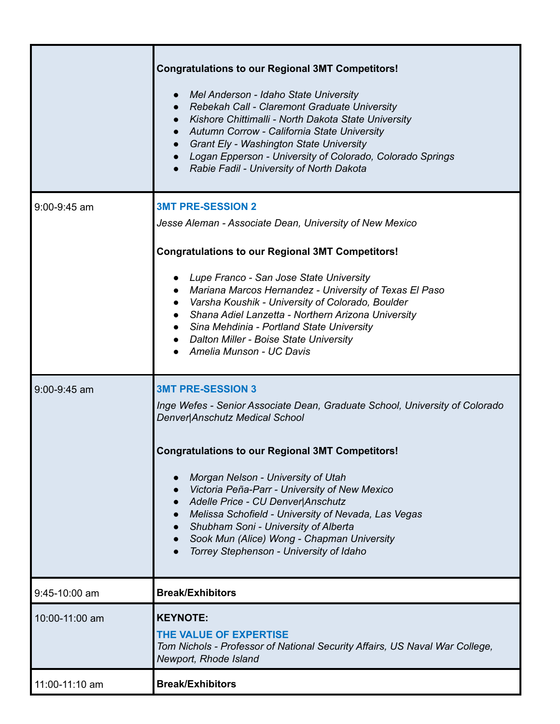|                 | <b>Congratulations to our Regional 3MT Competitors!</b><br>Mel Anderson - Idaho State University<br>Rebekah Call - Claremont Graduate University<br>Kishore Chittimalli - North Dakota State University<br>Autumn Corrow - California State University<br>Grant Ely - Washington State University<br>Logan Epperson - University of Colorado, Colorado Springs<br>Rabie Fadil - University of North Dakota |
|-----------------|------------------------------------------------------------------------------------------------------------------------------------------------------------------------------------------------------------------------------------------------------------------------------------------------------------------------------------------------------------------------------------------------------------|
| 9:00-9:45 am    | <b>3MT PRE-SESSION 2</b><br>Jesse Aleman - Associate Dean, University of New Mexico<br><b>Congratulations to our Regional 3MT Competitors!</b>                                                                                                                                                                                                                                                             |
|                 | Lupe Franco - San Jose State University<br>• Mariana Marcos Hernandez - University of Texas El Paso<br>Varsha Koushik - University of Colorado, Boulder<br>• Shana Adiel Lanzetta - Northern Arizona University<br>• Sina Mehdinia - Portland State University<br>• Dalton Miller - Boise State University<br>Amelia Munson - UC Davis                                                                     |
| 9:00-9:45 am    | <b>3MT PRE-SESSION 3</b><br>Inge Wefes - Senior Associate Dean, Graduate School, University of Colorado<br>Denver Anschutz Medical School                                                                                                                                                                                                                                                                  |
|                 | <b>Congratulations to our Regional 3MT Competitors!</b><br>Morgan Nelson - University of Utah<br>Victoria Peña-Parr - University of New Mexico<br>Adelle Price - CU Denver Anschutz<br>Melissa Schofield - University of Nevada, Las Vegas<br>Shubham Soni - University of Alberta<br>Sook Mun (Alice) Wong - Chapman University<br>Torrey Stephenson - University of Idaho                                |
| $9:45-10:00$ am | <b>Break/Exhibitors</b>                                                                                                                                                                                                                                                                                                                                                                                    |
| 10:00-11:00 am  | <b>KEYNOTE:</b><br>THE VALUE OF EXPERTISE<br>Tom Nichols - Professor of National Security Affairs, US Naval War College,<br>Newport, Rhode Island                                                                                                                                                                                                                                                          |
| 11:00-11:10 am  | <b>Break/Exhibitors</b>                                                                                                                                                                                                                                                                                                                                                                                    |